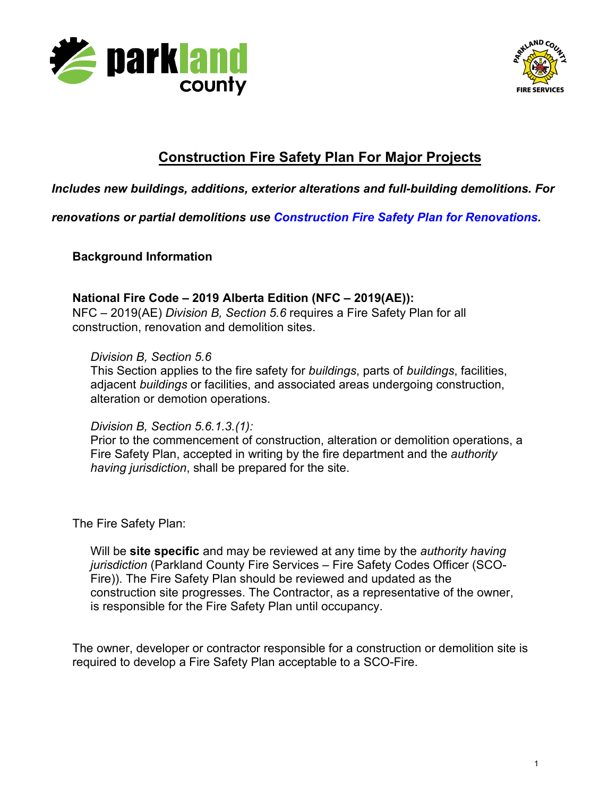



# **Construction Fire Safety Plan For Major Projects**

### *Includes new buildings, additions, exterior alterations and full-building demolitions. For*

*renovations or partial demolitions use [Construction Fire Safety Plan for Renovations.](https://www.edmonton.ca/business_economy/documents/PDF/Construction_Fire_Safety_Plan_For_Renovations.pdf)*

**Background Information** 

#### **National Fire Code – 2019 Alberta Edition (NFC – 2019(AE)):**  NFC – 2019(AE) *Division B, Section 5.6* requires a Fire Safety Plan for all construction, renovation and demolition sites.

#### *Division B, Section 5.6*

This Section applies to the fire safety for *buildings*, parts of *buildings*, facilities, adjacent *buildings* or facilities, and associated areas undergoing construction, alteration or demotion operations.

*Division B, Section 5.6.1.3.(1):*

Prior to the commencement of construction, alteration or demolition operations, a Fire Safety Plan, accepted in writing by the fire department and the *authority having jurisdiction*, shall be prepared for the site.

The Fire Safety Plan:

Will be **site specific** and may be reviewed at any time by the *authority having jurisdiction* (Parkland County Fire Services – Fire Safety Codes Officer (SCO-Fire)). The Fire Safety Plan should be reviewed and updated as the construction site progresses. The Contractor, as a representative of the owner, is responsible for the Fire Safety Plan until occupancy.

The owner, developer or contractor responsible for a construction or demolition site is required to develop a Fire Safety Plan acceptable to a SCO-Fire.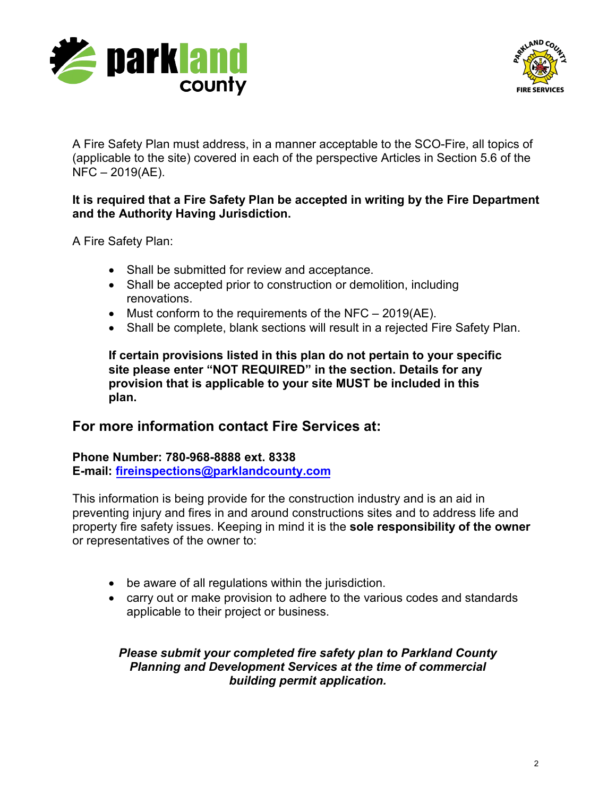



A Fire Safety Plan must address, in a manner acceptable to the SCO-Fire, all topics of (applicable to the site) covered in each of the perspective Articles in Section 5.6 of the NFC – 2019(AE).

#### **It is required that a Fire Safety Plan be accepted in writing by the Fire Department and the Authority Having Jurisdiction.**

A Fire Safety Plan:

- Shall be submitted for review and acceptance.
- Shall be accepted prior to construction or demolition, including renovations.
- Must conform to the requirements of the NFC 2019(AE).
- Shall be complete, blank sections will result in a rejected Fire Safety Plan.

**If certain provisions listed in this plan do not pertain to your specific site please enter "NOT REQUIRED" in the section. Details for any provision that is applicable to your site MUST be included in this plan.**

# **For more information contact Fire Services at:**

**Phone Number: 780-968-8888 ext. 8338 E-mail: [fireinspections@parklan](mailto:cmsfpts@edmonton.ca)dcounty.com**

This information is being provide for the construction industry and is an aid in preventing injury and fires in and around constructions sites and to address life and property fire safety issues. Keeping in mind it is the **sole responsibility of the owner** or representatives of the owner to:

- be aware of all regulations within the jurisdiction.
- carry out or make provision to adhere to the various codes and standards applicable to their project or business.

*Please submit your completed fire safety plan to Parkland County Planning and Development Services at the time of commercial building permit application.*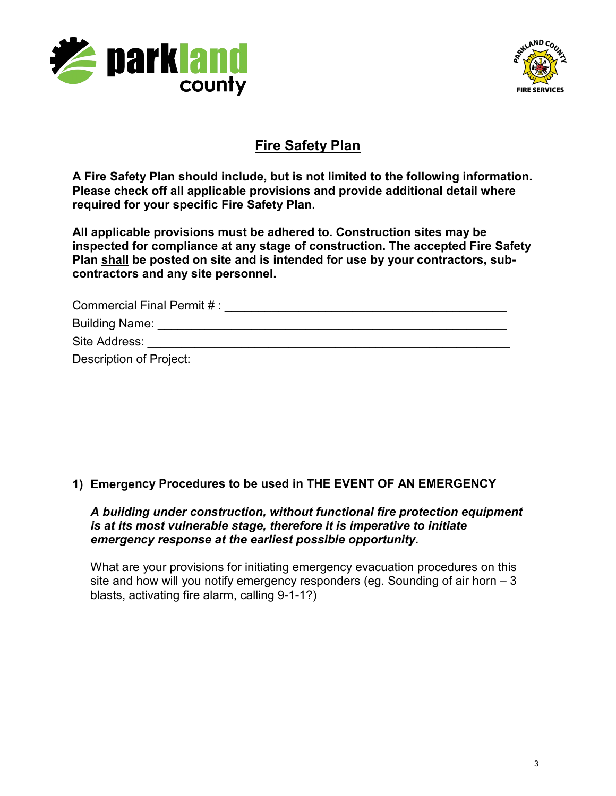



# **Fire Safety Plan**

**A Fire Safety Plan should include, but is not limited to the following information. Please check off all applicable provisions and provide additional detail where required for your specific Fire Safety Plan.**

**All applicable provisions must be adhered to. Construction sites may be inspected for compliance at any stage of construction. The accepted Fire Safety Plan shall be posted on site and is intended for use by your contractors, subcontractors and any site personnel.**

| Commercial Final Permit #: |  |
|----------------------------|--|
| <b>Building Name:</b>      |  |
| Site Address:              |  |
| Description of Project:    |  |

# **1) Emergency Procedures to be used in THE EVENT OF AN EMERGENCY**

#### *A building under construction, without functional fire protection equipment is at its most vulnerable stage, therefore it is imperative to initiate emergency response at the earliest possible opportunity.*

What are your provisions for initiating emergency evacuation procedures on this site and how will you notify emergency responders (eg. Sounding of air horn – 3 blasts, activating fire alarm, calling 9-1-1?)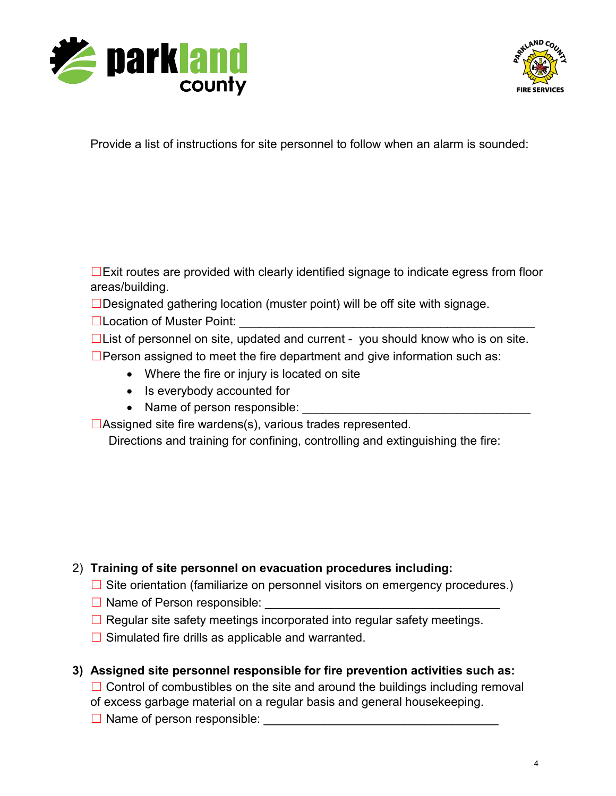



Provide a list of instructions for site personnel to follow when an alarm is sounded:

☐Exit routes are provided with clearly identified signage to indicate egress from floor areas/building.

□Designated gathering location (muster point) will be off site with signage.

**□Location of Muster Point:** <u></u>

☐List of personnel on site, updated and current - you should know who is on site.

 $\square$ Person assigned to meet the fire department and give information such as:

- Where the fire or injury is located on site
- Is everybody accounted for
- Name of person responsible:

 $\Box$ Assigned site fire wardens(s), various trades represented.

Directions and training for confining, controlling and extinguishing the fire:

# 2) **Training of site personnel on evacuation procedures including:**

- $\Box$  Site orientation (familiarize on personnel visitors on emergency procedures.)
- $\Box$  Name of Person responsible:
- $\Box$  Regular site safety meetings incorporated into regular safety meetings.
- $\Box$  Simulated fire drills as applicable and warranted.
- **3) Assigned site personnel responsible for fire prevention activities such as:**

 $\Box$  Control of combustibles on the site and around the buildings including removal of excess garbage material on a regular basis and general housekeeping.

☐ Name of person responsible: \_\_\_\_\_\_\_\_\_\_\_\_\_\_\_\_\_\_\_\_\_\_\_\_\_\_\_\_\_\_\_\_\_\_\_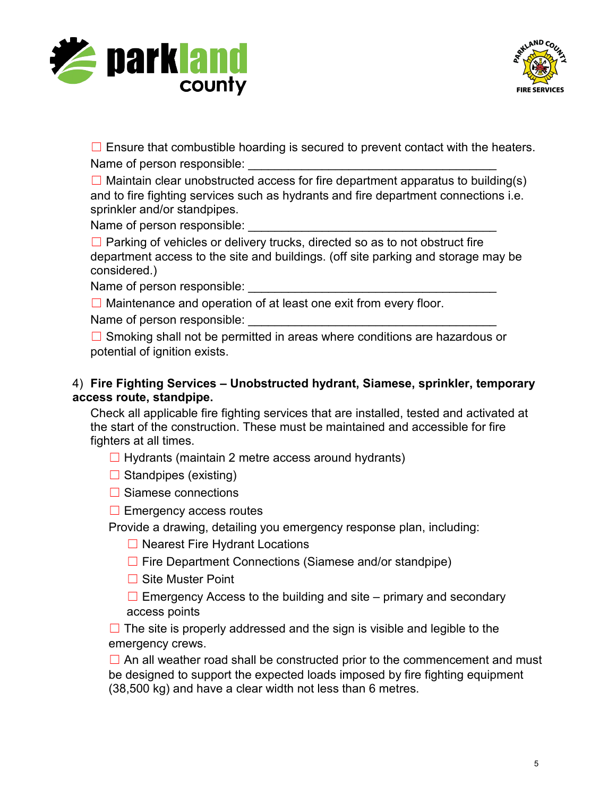



 $\Box$  Ensure that combustible hoarding is secured to prevent contact with the heaters. Name of person responsible:

 $\Box$  Maintain clear unobstructed access for fire department apparatus to building(s) and to fire fighting services such as hydrants and fire department connections i.e. sprinkler and/or standpipes.

Name of person responsible:

□ Parking of vehicles or delivery trucks, directed so as to not obstruct fire department access to the site and buildings. (off site parking and storage may be considered.)

Name of person responsible:

 $\Box$  Maintenance and operation of at least one exit from every floor.

Name of person responsible:

□ Smoking shall not be permitted in areas where conditions are hazardous or potential of ignition exists.

#### 4) **Fire Fighting Services – Unobstructed hydrant, Siamese, sprinkler, temporary access route, standpipe.**

Check all applicable fire fighting services that are installed, tested and activated at the start of the construction. These must be maintained and accessible for fire fighters at all times.

- $\Box$  Hydrants (maintain 2 metre access around hydrants)
- $\Box$  Standpipes (existing)

**□ Siamese connections** 

 $\Box$  Emergency access routes

Provide a drawing, detailing you emergency response plan, including:

- ☐ Nearest Fire Hydrant Locations
- ☐ Fire Department Connections (Siamese and/or standpipe)
- ☐ Site Muster Point

 $\Box$  Emergency Access to the building and site – primary and secondary access points

 $\Box$  The site is properly addressed and the sign is visible and legible to the emergency crews.

 $\Box$  An all weather road shall be constructed prior to the commencement and must be designed to support the expected loads imposed by fire fighting equipment (38,500 kg) and have a clear width not less than 6 metres.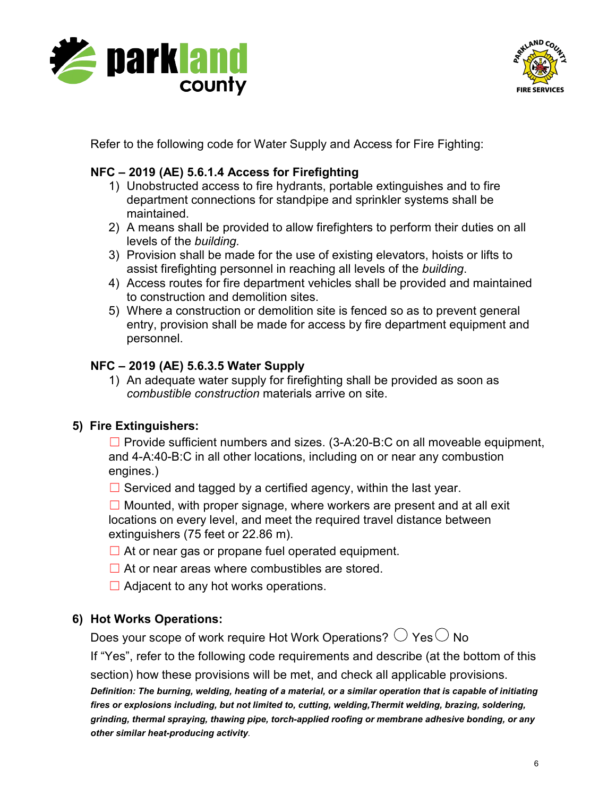



Refer to the following code for Water Supply and Access for Fire Fighting:

# **NFC – 2019 (AE) 5.6.1.4 Access for Firefighting**

- 1) Unobstructed access to fire hydrants, portable extinguishes and to fire department connections for standpipe and sprinkler systems shall be maintained.
- 2) A means shall be provided to allow firefighters to perform their duties on all levels of the *building.*
- 3) Provision shall be made for the use of existing elevators, hoists or lifts to assist firefighting personnel in reaching all levels of the *building*.
- 4) Access routes for fire department vehicles shall be provided and maintained to construction and demolition sites.
- 5) Where a construction or demolition site is fenced so as to prevent general entry, provision shall be made for access by fire department equipment and personnel.

### **NFC – 2019 (AE) 5.6.3.5 Water Supply**

1) An adequate water supply for firefighting shall be provided as soon as *combustible construction* materials arrive on site.

# **5) Fire Extinguishers:**

 $\Box$  Provide sufficient numbers and sizes. (3-A:20-B:C on all moveable equipment, and 4-A:40-B:C in all other locations, including on or near any combustion engines.)

 $\Box$  Serviced and tagged by a certified agency, within the last year.

 $\Box$  Mounted, with proper signage, where workers are present and at all exit locations on every level, and meet the required travel distance between extinguishers (75 feet or 22.86 m).

- $\Box$  At or near gas or propane fuel operated equipment.
- $\Box$  At or near areas where combustibles are stored.
- $\Box$  Adjacent to any hot works operations.

### **6) Hot Works Operations:**

Does your scope of work require Hot Work Operations?  $\bigcirc$  Yes $\bigcirc$  No

If "Yes", refer to the following code requirements and describe (at the bottom of this

section) how these provisions will be met, and check all applicable provisions.

*Definition: The burning, welding, heating of a material, or a similar operation that is capable of initiating fires or explosions including, but not limited to, cutting, welding,Thermit welding, brazing, soldering, grinding, thermal spraying, thawing pipe, torchapplied roofing or membrane adhesive bonding, or any* **other similar heat-producing activity**.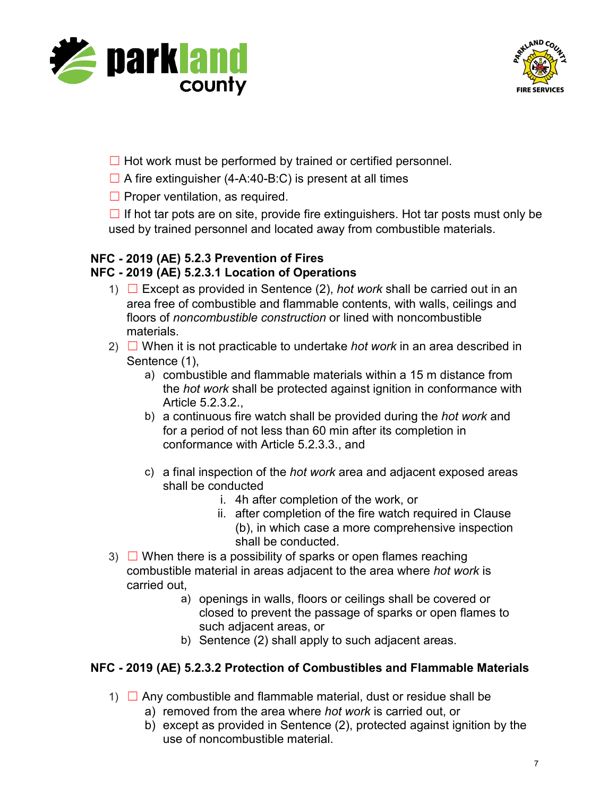



- $\Box$  Hot work must be performed by trained or certified personnel.
- $\Box$  A fire extinguisher (4-A:40-B:C) is present at all times
- $\Box$  Proper ventilation, as required.

 $\Box$  If hot tar pots are on site, provide fire extinguishers. Hot tar posts must only be used by trained personnel and located away from combustible materials.

# **NFC - 2019 (AE) 5.2.3 Prevention of Fires**

#### **NFC - 2019 (AE) 5.2.3.1 Location of Operations**

- 1) ☐ Except as provided in Sentence (2), *hot work* shall be carried out in an area free of combustible and flammable contents, with walls, ceilings and floors of *noncombustible construction* or lined with noncombustible materials.
- 2) ☐ When it is not practicable to undertake *hot work* in an area described in Sentence (1),
	- a) combustible and flammable materials within a 15 m distance from the *hot work* shall be protected against ignition in conformance with Article 5.2.3.2.,
	- b) a continuous fire watch shall be provided during the *hot work* and for a period of not less than 60 min after its completion in conformance with Article 5.2.3.3., and
	- c) a final inspection of the *hot work* area and adjacent exposed areas shall be conducted
		- i. 4h after completion of the work, or
		- ii. after completion of the fire watch required in Clause (b), in which case a more comprehensive inspection shall be conducted.
- 3)  $\Box$  When there is a possibility of sparks or open flames reaching combustible material in areas adjacent to the area where *hot work* is carried out,
	- a) openings in walls, floors or ceilings shall be covered or closed to prevent the passage of sparks or open flames to such adjacent areas, or
	- b) Sentence (2) shall apply to such adjacent areas.

### **NFC - 2019 (AE) 5.2.3.2 Protection of Combustibles and Flammable Materials**

- 1)  $\Box$  Any combustible and flammable material, dust or residue shall be
	- a) removed from the area where *hot work* is carried out, or
	- b) except as provided in Sentence (2), protected against ignition by the use of noncombustible material.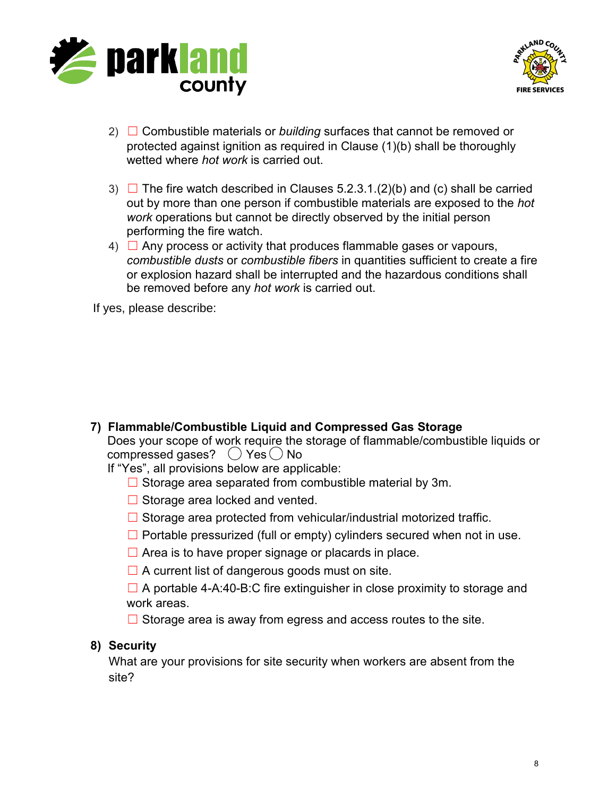



- 2) ☐ Combustible materials or *building* surfaces that cannot be removed or protected against ignition as required in Clause (1)(b) shall be thoroughly wetted where *hot work* is carried out.
- 3)  $\Box$  The fire watch described in Clauses 5.2.3.1.(2)(b) and (c) shall be carried out by more than one person if combustible materials are exposed to the *hot work* operations but cannot be directly observed by the initial person performing the fire watch.
- $4)$   $\Box$  Any process or activity that produces flammable gases or vapours, *combustible dusts* or *combustible fibers* in quantities sufficient to create a fire or explosion hazard shall be interrupted and the hazardous conditions shall be removed before any *hot work* is carried out.

**7) Flammable/Combustible Liquid and Compressed Gas Storage** Does your scope of work require the storage of flammable/combustible liquids or compressed gases?  $\bigcirc$  Yes  $\bigcirc$  No If yes, please describe:<br>
Does your scope of<br>
compressed gases?<br>
If "Yes", all provision<br>  $\Box$  Storage area<br>  $\Box$  Storage area<br>  $\Box$  Storage area<br>  $\Box$  Portable pres:<br>  $\Box$  Area is to hav<br>  $\Box$  A portable 4-*4*<br>
work area

If "Yes", all provisions below are applicable:

- $\Box$  Storage area separated from combustible material by 3m.
- $\Box$  Storage area locked and vented.
- $\Box$  Storage area protected from vehicular/industrial motorized traffic.
- $\Box$  Portable pressurized (full or empty) cylinders secured when not in use.
- $\Box$  Area is to have proper signage or placards in place.
- $\Box$  A current list of dangerous goods must on site.
- $\Box$  A portable 4-A:40-B:C fire extinguisher in close proximity to storage and work areas.
- $\Box$  Storage area is away from egress and access routes to the site.

### **8) Security**

What are your provisions for site security when workers are absent from the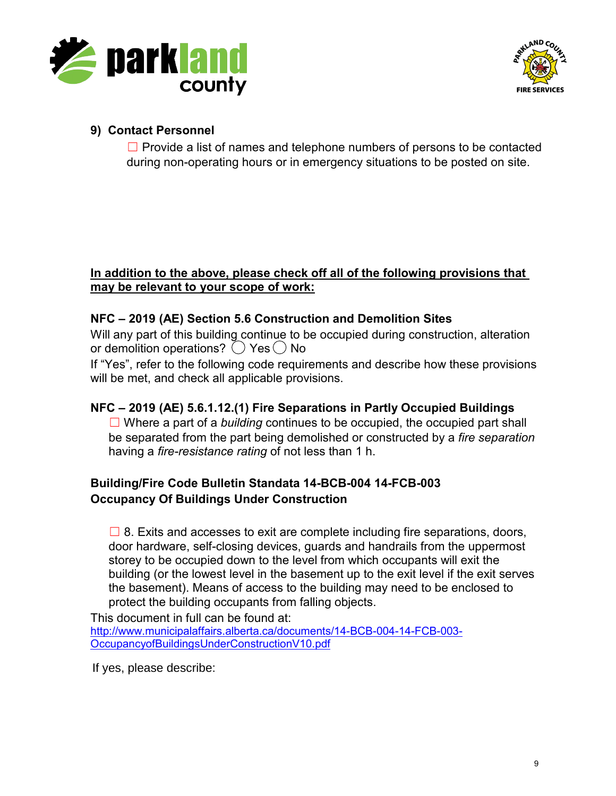



### **9) Contact Personnel**

 $\Box$  Provide a list of names and telephone numbers of persons to be contacted during non-operating hours or in emergency situations to be posted on site.

#### **In addition to the above, please check off all of the following provisions that may be relevant to your scope of work:**

### **NFC – 2019 (AE) Section 5.6 Construction and Demolition Sites**

Will any part of this building continue to be occupied during construction, alteration or demolition operations? ( ) Yes ( ) No

If "Yes", refer to the following code requirements and describe how these provisions will be met, and check all applicable provisions.

### **NFC – 2019 (AE) 5.6.1.12.(1) Fire Separations in Partly Occupied Buildings**

☐ Where a part of a *building* continues to be occupied, the occupied part shall be separated from the part being demolished or constructed by a *fire separation* having a *fire-resistance rating* of not less than 1 h.

### **Building/Fire Code Bulletin Standata 14-BCB-004 14-FCB-003 Occupancy Of Buildings Under Construction**

 $\square$  8. Exits and accesses to exit are complete including fire separations, doors, door hardware, self-closing devices, guards and handrails from the uppermost storey to be occupied down to the level from which occupants will exit the building (or the lowest level in the basement up to the exit level if the exit serves the basement). Means of access to the building may need to be enclosed to protect the building occupants from falling objects.

This document in full can be found at: [http://www.municipalaffairs.alberta.ca/documents/14-BCB-004-14-FCB-003-](http://www.municipalaffairs.alberta.ca/documents/14-BCB-004-14-FCB-003-OccupancyofBuildingsUnderConstructionV10.pdf) [OccupancyofBuildingsUnderConstructionV10.pdf](http://www.municipalaffairs.alberta.ca/documents/14-BCB-004-14-FCB-003-OccupancyofBuildingsUnderConstructionV10.pdf)

If yes, please describe: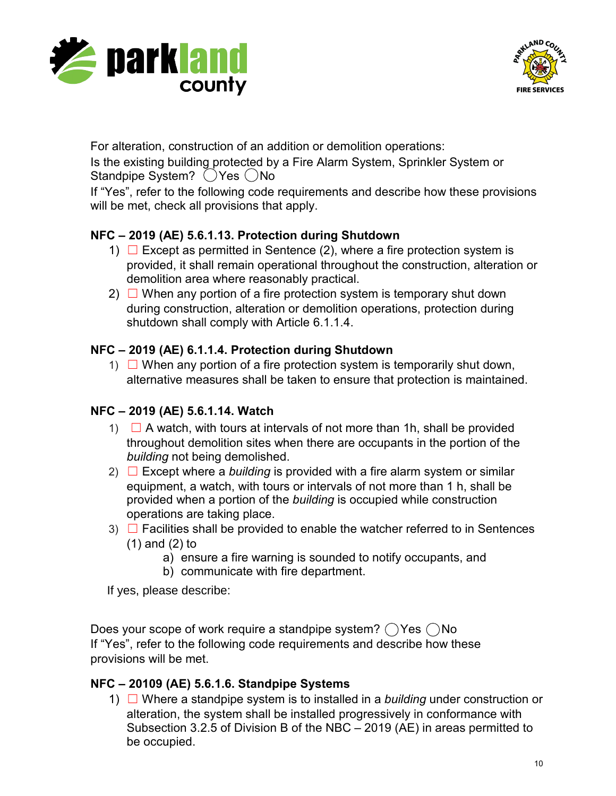



For alteration, construction of an addition or demolition operations:

Is the existing building protected by a Fire Alarm System, Sprinkler System or Standpipe System? (Yes  $\bigcirc$ No

If "Yes", refer to the following code requirements and describe how these provisions will be met, check all provisions that apply.

# **NFC – 2019 (AE) 5.6.1.13. Protection during Shutdown**

- 1)  $\Box$  Except as permitted in Sentence (2), where a fire protection system is provided, it shall remain operational throughout the construction, alteration or demolition area where reasonably practical.
- 2)  $\Box$  When any portion of a fire protection system is temporary shut down during construction, alteration or demolition operations, protection during shutdown shall comply with Article 6.1.1.4.

# **NFC – 2019 (AE) 6.1.1.4. Protection during Shutdown**

1)  $\Box$  When any portion of a fire protection system is temporarily shut down, alternative measures shall be taken to ensure that protection is maintained.

# **NFC – 2019 (AE) 5.6.1.14. Watch**

- 1)  $\Box$  A watch, with tours at intervals of not more than 1h, shall be provided throughout demolition sites when there are occupants in the portion of the *building* not being demolished.
- 2)  $\Box$  Except where a *building* is provided with a fire alarm system or similar equipment, a watch, with tours or intervals of not more than 1 h, shall be provided when a portion of the *building* is occupied while construction operations are taking place.
- 3)  $\Box$  Facilities shall be provided to enable the watcher referred to in Sentences
	- (1) and (2) to
		- a) ensure a fire warning is sounded to notify occupants, and
		- b) communicate with fire department.

If yes, please describe:

Does your scope of work require a standpipe system?  $\bigcirc$  Yes  $\bigcirc$  No If "Yes", refer to the following code requirements and describe how these provisions will be met.

# **NFC – 20109 (AE) 5.6.1.6. Standpipe Systems**

1) ☐ Where a standpipe system is to installed in a *building* under construction or alteration, the system shall be installed progressively in conformance with Subsection 3.2.5 of Division B of the NBC – 2019 (AE) in areas permitted to be occupied.